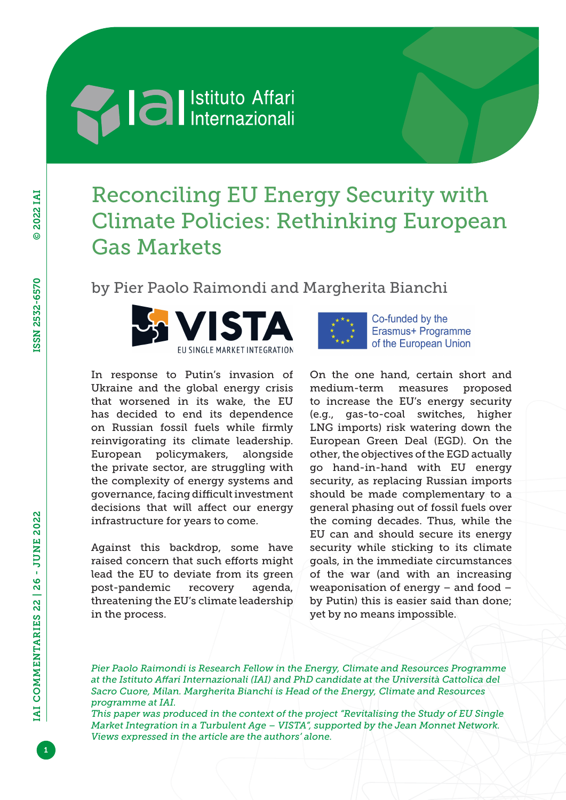## **Al al** Istituto Affari

## Reconciling EU Energy Security with Climate Policies: Rethinking European Gas Markets

by Pier Paolo Raimondi and Margherita Bianchi



In response to Putin's invasion of Ukraine and the global energy crisis that worsened in its wake, the EU has decided to end its dependence on Russian fossil fuels while firmly reinvigorating its climate leadership. European policymakers, alongside the private sector, are struggling with the complexity of energy systems and governance, facing difficult investment decisions that will affect our energy infrastructure for years to come.

Against this backdrop, some have raised concern that such efforts might lead the EU to deviate from its green post-pandemic recovery agenda, threatening the EU's climate leadership in the process.



Co-funded by the Erasmus+ Programme of the European Union

On the one hand, certain short and medium-term measures proposed to increase the EU's energy security (e.g., gas-to-coal switches, higher LNG imports) risk watering down the European Green Deal (EGD). On the other, the objectives of the EGD actually go hand-in-hand with EU energy security, as replacing Russian imports should be made complementary to a general phasing out of fossil fuels over the coming decades. Thus, while the EU can and should secure its energy security while sticking to its climate goals, in the immediate circumstances of the war (and with an increasing weaponisation of energy – and food – by Putin) this is easier said than done; yet by no means impossible.

*Pier Paolo Raimondi is Research Fellow in the Energy, Climate and Resources Programme at the Istituto Affari Internazionali (IAI) and PhD candidate at the Università Cattolica del Sacro Cuore, Milan. Margherita Bianchi is Head of the Energy, Climate and Resources programme at IAI.*

*This paper was produced in the context of the project "Revitalising the Study of EU Single Market Integration in a Turbulent Age – VISTA", supported by the Jean Monnet Network. Views expressed in the article are the authors' alone.*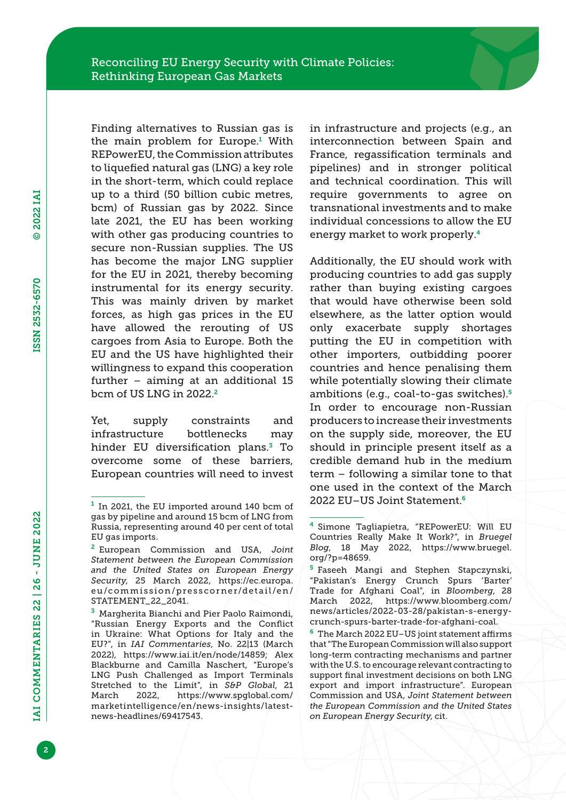Finding alternatives to Russian gas is the main problem for Europe.<sup>1</sup> With REPowerEU, the Commission attributes to liquefied natural gas (LNG) a key role in the short-term, which could replace up to a third (50 billion cubic metres, bcm) of Russian gas by 2022. Since late 2021, the EU has been working with other gas producing countries to secure non-Russian supplies. The US has become the major LNG supplier for the EU in 2021, thereby becoming instrumental for its energy security. This was mainly driven by market forces, as high gas prices in the EU have allowed the rerouting of US cargoes from Asia to Europe. Both the EU and the US have highlighted their willingness to expand this cooperation further – aiming at an additional 15 bcm of US LNG in 2022.<sup>2</sup>

Yet, supply constraints and infrastructure bottlenecks may hinder EU diversification plans.<sup>3</sup> To overcome some of these barriers, European countries will need to invest in infrastructure and projects (e.g., an interconnection between Spain and France, regassification terminals and pipelines) and in stronger political and technical coordination. This will require governments to agree on transnational investments and to make individual concessions to allow the EU energy market to work properly.<sup>4</sup>

Additionally, the EU should work with producing countries to add gas supply rather than buying existing cargoes that would have otherwise been sold elsewhere, as the latter option would only exacerbate supply shortages putting the EU in competition with other importers, outbidding poorer countries and hence penalising them while potentially slowing their climate ambitions (e.g., coal-to-gas switches).<sup>5</sup> In order to encourage non-Russian producers to increase their investments on the supply side, moreover, the EU should in principle present itself as a credible demand hub in the medium term – following a similar tone to that one used in the context of the March 2022 EU–US Joint Statement.<sup>6</sup>

 $6$  The March 2022 EU–US joint statement affirms that "The European Commission will also support long-term contracting mechanisms and partner with the U.S. to encourage relevant contracting to support final investment decisions on both LNG export and import infrastructure". European Commission and USA, *Joint Statement between the European Commission and the United States on European Energy Security*, cit.

<sup>&</sup>lt;sup>1</sup> In 2021, the EU imported around 140 bcm of gas by pipeline and around 15 bcm of LNG from Russia, representing around 40 per cent of total EU gas imports.

<sup>2</sup> European Commission and USA, *Joint Statement between the European Commission and the United States on European Energy Security*, 25 March 2022, [https://ec.europa.](https://ec.europa.eu/commission/presscorner/detail/en/STATEMENT_22_2041) [eu/commission/presscorner/detail/en/](https://ec.europa.eu/commission/presscorner/detail/en/STATEMENT_22_2041) [STATEMENT\\_22\\_2041](https://ec.europa.eu/commission/presscorner/detail/en/STATEMENT_22_2041).

<sup>3</sup> Margherita Bianchi and Pier Paolo Raimondi, "Russian Energy Exports and the Conflict in Ukraine: What Options for Italy and the EU?", in *IAI Commentaries*, No. 22|13 (March 2022), [https://www.iai.it/en/node/14859;](https://www.iai.it/en/node/14859) Alex Blackburne and Camilla Naschert, "Europe's LNG Push Challenged as Import Terminals Stretched to the Limit", in *S&P Global*, 21 March 2022, [https://www.spglobal.com/](https://www.spglobal.com/marketintelligence/en/news-insights/latest-news-headlines/69417543) [marketintelligence/en/news-insights/latest](https://www.spglobal.com/marketintelligence/en/news-insights/latest-news-headlines/69417543)[news-headlines/69417543](https://www.spglobal.com/marketintelligence/en/news-insights/latest-news-headlines/69417543).

<sup>4</sup> Simone Tagliapietra, "REPowerEU: Will EU Countries Really Make It Work?", in *Bruegel Blog*, 18 May 2022, [https://www.bruegel.](https://www.bruegel.org/?p=48659) [org/?p=48659.](https://www.bruegel.org/?p=48659)

<sup>&</sup>lt;sup>5</sup> Faseeh Mangi and Stephen Stapczynski, "Pakistan's Energy Crunch Spurs 'Barter' Trade for Afghani Coal", in *Bloomberg*, 28 March 2022, [https://www.bloomberg.com/](https://www.bloomberg.com/news/articles/2022-03-28/pakistan-s-energy-crunch-spurs-barter-trade-for-afghani-coal) [news/articles/2022-03-28/pakistan-s-energy](https://www.bloomberg.com/news/articles/2022-03-28/pakistan-s-energy-crunch-spurs-barter-trade-for-afghani-coal)[crunch-spurs-barter-trade-for-afghani-coal.](https://www.bloomberg.com/news/articles/2022-03-28/pakistan-s-energy-crunch-spurs-barter-trade-for-afghani-coal)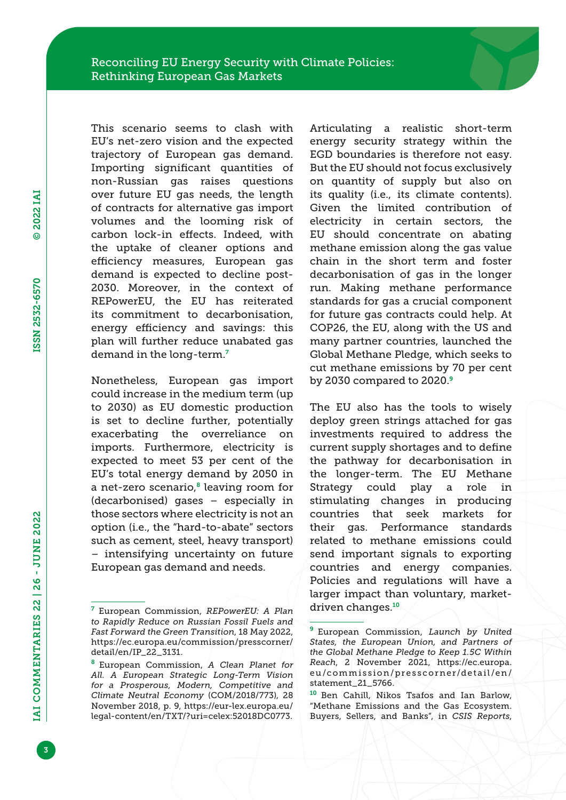This scenario seems to clash with EU's net-zero vision and the expected trajectory of European gas demand. Importing significant quantities of non-Russian gas raises questions over future EU gas needs, the length of contracts for alternative gas import volumes and the looming risk of carbon lock-in effects. Indeed, with the uptake of cleaner options and efficiency measures, European gas demand is expected to decline post-2030. Moreover, in the context of REPowerEU, the EU has reiterated its commitment to decarbonisation, energy efficiency and savings: this plan will further reduce unabated gas demand in the long-term.<sup>7</sup>

Nonetheless, European gas import could increase in the medium term (up to 2030) as EU domestic production is set to decline further, potentially exacerbating the overreliance on imports. Furthermore, electricity is expected to meet 53 per cent of the EU's total energy demand by 2050 in a net-zero scenario, $8$  leaving room for (decarbonised) gases – especially in those sectors where electricity is not an option (i.e., the "hard-to-abate" sectors such as cement, steel, heavy transport) – intensifying uncertainty on future European gas demand and needs.

Articulating a realistic short-term energy security strategy within the EGD boundaries is therefore not easy. But the EU should not focus exclusively on quantity of supply but also on its quality (i.e., its climate contents). Given the limited contribution of electricity in certain sectors, the EU should concentrate on abating methane emission along the gas value chain in the short term and foster decarbonisation of gas in the longer run. Making methane performance standards for gas a crucial component for future gas contracts could help. At COP26, the EU, along with the US and many partner countries, launched the Global Methane Pledge, which seeks to cut methane emissions by 70 per cent by 2030 compared to 2020.<sup>9</sup>

The EU also has the tools to wisely deploy green strings attached for gas investments required to address the current supply shortages and to define the pathway for decarbonisation in the longer-term. The EU Methane Strategy could play a role in stimulating changes in producing countries that seek markets for their gas. Performance standards related to methane emissions could send important signals to exporting countries and energy companies. Policies and regulations will have a larger impact than voluntary, marketdriven changes.<sup>10</sup>

<sup>7</sup> European Commission, *REPowerEU: A Plan to Rapidly Reduce on Russian Fossil Fuels and Fast Forward the Green Transition*, 18 May 2022, [https://ec.europa.eu/commission/presscorner/](https://ec.europa.eu/commission/presscorner/detail/en/IP_22_3131) [detail/en/IP\\_22\\_3131](https://ec.europa.eu/commission/presscorner/detail/en/IP_22_3131).

<sup>8</sup> European Commission, *A Clean Planet for All. A European Strategic Long-Term Vision for a Prosperous, Modern, Competitive and Climate Neutral Economy* (COM/2018/773), 28 November 2018, p. 9, [https://eur-lex.europa.eu/](https://eur-lex.europa.eu/legal-content/en/TXT/?uri=celex:52018DC0773) [legal-content/en/TXT/?uri=celex:52018DC0773.](https://eur-lex.europa.eu/legal-content/en/TXT/?uri=celex:52018DC0773)

<sup>9</sup> European Commission, *Launch by United States, the European Union, and Partners of the Global Methane Pledge to Keep 1.5C Within Reach*, 2 November 2021, [https://ec.europa.](https://ec.europa.eu/commission/presscorner/detail/en/statement_21_5766) [eu/commission/presscorner/detail/en/](https://ec.europa.eu/commission/presscorner/detail/en/statement_21_5766) [statement\\_21\\_5766.](https://ec.europa.eu/commission/presscorner/detail/en/statement_21_5766)

<sup>10</sup> Ben Cahill, Nikos Tsafos and Ian Barlow, "Methane Emissions and the Gas Ecosystem. Buyers, Sellers, and Banks", in *CSIS Reports*,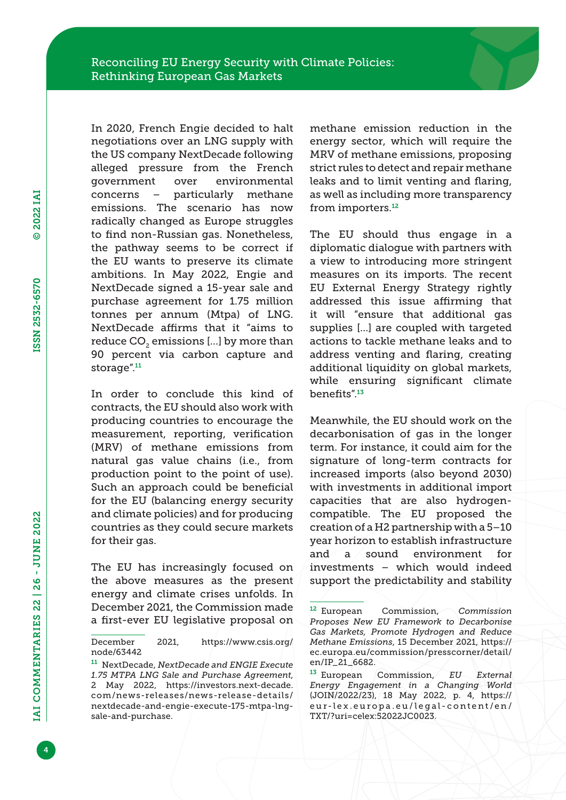In 2020, French Engie decided to halt negotiations over an LNG supply with the US company NextDecade following alleged pressure from the French government over environmental concerns – particularly methane emissions. The scenario has now radically changed as Europe struggles to find non-Russian gas. Nonetheless, the pathway seems to be correct if the EU wants to preserve its climate ambitions. In May 2022, Engie and NextDecade signed a 15-year sale and purchase agreement for 1.75 million tonnes per annum (Mtpa) of LNG. NextDecade affirms that it "aims to reduce CO<sub>2</sub> emissions [...] by more than 90 percent via carbon capture and storage".<sup>11</sup>

In order to conclude this kind of contracts, the EU should also work with producing countries to encourage the measurement, reporting, verification (MRV) of methane emissions from natural gas value chains (i.e., from production point to the point of use). Such an approach could be beneficial for the EU (balancing energy security and climate policies) and for producing countries as they could secure markets for their gas.

The EU has increasingly focused on the above measures as the present energy and climate crises unfolds. In December 2021, the Commission made a first-ever EU legislative proposal on methane emission reduction in the energy sector, which will require the MRV of methane emissions, proposing strict rules to detect and repair methane leaks and to limit venting and flaring, as well as including more transparency from importers.<sup>12</sup>

The EU should thus engage in a diplomatic dialogue with partners with a view to introducing more stringent measures on its imports. The recent EU External Energy Strategy rightly addressed this issue affirming that it will "ensure that additional gas supplies […] are coupled with targeted actions to tackle methane leaks and to address venting and flaring, creating additional liquidity on global markets, while ensuring significant climate benefits".<sup>13</sup>

Meanwhile, the EU should work on the decarbonisation of gas in the longer term. For instance, it could aim for the signature of long-term contracts for increased imports (also beyond 2030) with investments in additional import capacities that are also hydrogencompatible. The EU proposed the creation of a H2 partnership with a 5–10 year horizon to establish infrastructure and a sound environment for investments – which would indeed support the predictability and stability

4

December 2021, [https://www.csis.org/](https://www.csis.org/node/63442) [node/63442](https://www.csis.org/node/63442)

<sup>11</sup> NextDecade, *NextDecade and ENGIE Execute 1.75 MTPA LNG Sale and Purchase Agreement*, 2 May 2022, [https://investors.next-decade.](https://investors.next-decade.com/news-releases/news-release-details/nextdecade-and-engie-execute-175-mtpa-lng-sale-and-purchase) [com/news-releases/news-release-details/](https://investors.next-decade.com/news-releases/news-release-details/nextdecade-and-engie-execute-175-mtpa-lng-sale-and-purchase) [nextdecade-and-engie-execute-175-mtpa-lng](https://investors.next-decade.com/news-releases/news-release-details/nextdecade-and-engie-execute-175-mtpa-lng-sale-and-purchase)[sale-and-purchase.](https://investors.next-decade.com/news-releases/news-release-details/nextdecade-and-engie-execute-175-mtpa-lng-sale-and-purchase)

<sup>12</sup> European Commission, *Commission Proposes New EU Framework to Decarbonise Gas Markets, Promote Hydrogen and Reduce Methane Emissions*, 15 December 2021, [https://](https://ec.europa.eu/commission/presscorner/detail/en/IP_21_6682) [ec.europa.eu/commission/presscorner/detail/](https://ec.europa.eu/commission/presscorner/detail/en/IP_21_6682) [en/IP\\_21\\_6682](https://ec.europa.eu/commission/presscorner/detail/en/IP_21_6682).

<sup>13</sup> European Commission, *EU External Energy Engagement in a Changing World*  (JOIN/2022/23), 18 May 2022, p. 4, [https://](https://eur-lex.europa.eu/legal-content/en/TXT/?uri=celex:52022JC0023) [eur-lex.europa.eu/legal-content/en/](https://eur-lex.europa.eu/legal-content/en/TXT/?uri=celex:52022JC0023) [TXT/?uri=celex:52022JC0023.](https://eur-lex.europa.eu/legal-content/en/TXT/?uri=celex:52022JC0023)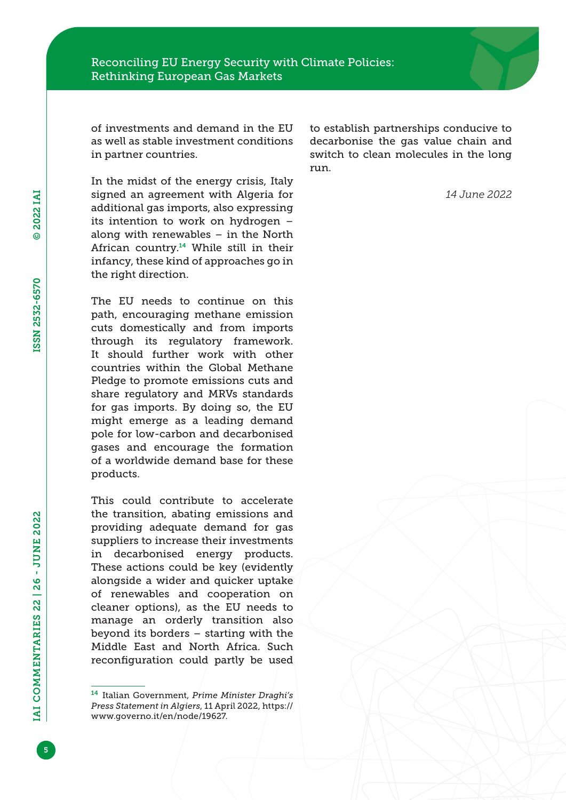of investments and demand in the EU as well as stable investment conditions in partner countries.

In the midst of the energy crisis, Italy signed an agreement with Algeria for additional gas imports, also expressing its intention to work on hydrogen – along with renewables – in the North African country.14 While still in their infancy, these kind of approaches go in the right direction.

The EU needs to continue on this path, encouraging methane emission cuts domestically and from imports through its regulatory framework. It should further work with other countries within the Global Methane Pledge to promote emissions cuts and share regulatory and MRVs standards for gas imports. By doing so, the EU might emerge as a leading demand pole for low-carbon and decarbonised gases and encourage the formation of a worldwide demand base for these products.

This could contribute to accelerate the transition, abating emissions and providing adequate demand for gas suppliers to increase their investments in decarbonised energy products. These actions could be key (evidently alongside a wider and quicker uptake of renewables and cooperation on cleaner options), as the EU needs to manage an orderly transition also beyond its borders – starting with the Middle East and North Africa. Such reconfiguration could partly be used to establish partnerships conducive to decarbonise the gas value chain and switch to clean molecules in the long run.

*14 June 2022*

5

<sup>14</sup> Italian Government, *Prime Minister Draghi's Press Statement in Algiers*, 11 April 2022, [https://](https://www.governo.it/en/node/19627) [www.governo.it/en/node/19627](https://www.governo.it/en/node/19627).